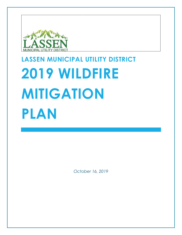

# **LASSEN MUNICIPAL UTILITY DISTRICT 2019 WILDFIRE MITIGATION PLAN**

*October 16, 2019*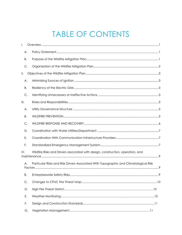# TABLE OF CONTENTS

| I.            |                                                                                       |  |  |  |  |
|---------------|---------------------------------------------------------------------------------------|--|--|--|--|
| Α.            |                                                                                       |  |  |  |  |
| Β.            |                                                                                       |  |  |  |  |
| C.            |                                                                                       |  |  |  |  |
| Ⅱ.            |                                                                                       |  |  |  |  |
| Α.            |                                                                                       |  |  |  |  |
| Β.            |                                                                                       |  |  |  |  |
| $\mathsf{C}.$ |                                                                                       |  |  |  |  |
| III.          |                                                                                       |  |  |  |  |
| А.            |                                                                                       |  |  |  |  |
| Β.            |                                                                                       |  |  |  |  |
| С.            |                                                                                       |  |  |  |  |
| D.            |                                                                                       |  |  |  |  |
| Ε.            |                                                                                       |  |  |  |  |
| F.            |                                                                                       |  |  |  |  |
| IV.           | Wildfire Risks and Drivers associated with design, construction, operation, and       |  |  |  |  |
| Α.            | Particular Risks and Risk Drivers Associated With Topographic and Climatological Risk |  |  |  |  |
|               |                                                                                       |  |  |  |  |
| С.            |                                                                                       |  |  |  |  |
| D.            |                                                                                       |  |  |  |  |
| Ε.            |                                                                                       |  |  |  |  |
| F.            |                                                                                       |  |  |  |  |
| G.            |                                                                                       |  |  |  |  |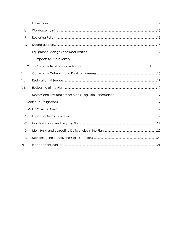| Η.    |  |
|-------|--|
| I.    |  |
| J.    |  |
| К.    |  |
| L.    |  |
| 1.    |  |
| 2.    |  |
| V.    |  |
| VI.   |  |
| VII.  |  |
| Α.    |  |
|       |  |
|       |  |
| В.    |  |
| С.    |  |
| D.    |  |
| Ε.    |  |
| XIII. |  |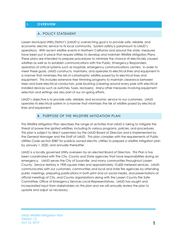# <span id="page-3-1"></span><span id="page-3-0"></span>**I. OVERVIEW**

#### A. POLICY STATEMENT

Lassen Municipal Utility District's (LMUD's) overarching goal is to provide safe, reliable, and economic electric service to its local community. System safety is paramount to LMUD's operations. With recent wildfire events in Northern California and around the state, measures have been put in place that require Utilities to develop and maintain Wildfire Mitigation Plans. These plans are intended to prepare procedures to minimize the chance of electrically caused wildfires as well as to establish communications with the Public, Emergency Responders, operators of critical systems such as hospitals, emergency communications centers. In order to meet these goals, LMUD constructs, maintains, and operates its electrical lines and equipment in a manner that minimizes the risk of catastrophic wildfire posed by its electrical lines and equipment. This includes extensive tree trimming programs to maintain clearance between trees and bare electrical conductors, pole brushing (clearing around every pole with electrical installed devices such as switches, fuses, reclosers). Many other measures involving equipment selection and settings are also part of our on-going efforts.

LMUD's objective is to provide safe, reliable, and economic service to our customers. LMUD operates its electrical system in a manner that minimizes the risk of wildfire posed by electrical lines and equipment.

#### B. PURPOSE OF THE WILDFIRE MITIGATION PLAN

<span id="page-3-2"></span>This Wildfire Mitigation Plan describes the range of activities that LMUD is taking to mitigate the threat of power-line ignited wildfires, including its various programs, policies, and procedures. This plan is subject to direct supervision by the LMUD Board of Directors and is implemented by the General Manager and the Staff of LMUD. This plan complies with the requirements of Public Utilities Code section 8387 for publicly owned electric utilities to prepare a wildfire mitigation plan by January 1, 2020, and annually thereafter.

LMUD is a locally governed Utility overseen by an elected Board of Directors. This Plan is has been coordinated with The City, County and State agencies that have responsibilities during an emergency. LMUD serves the City of Susanville, and many communities throughout Lassen County. Service territory is 1900 square miles and approximately 10,600 metered services. LMUD communicates with our customers, communities and local and state fire agencies by attending public meetings, preparing publications in both print and on social media, and presentations at official meetings of City, and County organizations along with the Lassen County Fire Safe Committee, Office of Emergency Services Local Representatives. LMUD has sought and incorporated input from stakeholders on this plan and we will annually review the plan to update and adjust as necessary.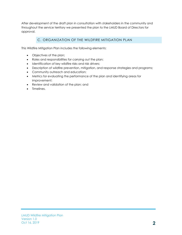After development of the draft plan in consultation with stakeholders in the community and throughout the service territory we presented the plan to the LMUD Board of Directors for approval.

# C. ORGANIZATION OF THE WILDFIRE MITIGATION PLAN

<span id="page-4-0"></span>This Wildfire Mitigation Plan includes the following elements:

- Objectives of the plan;
- Roles and responsibilities for carrying out the plan;
- Identification of key wildfire risks and risk drivers;
- Description of wildfire prevention, mitigation, and response strategies and programs;
- Community outreach and education;
- Metrics for evaluating the performance of the plan and identifying areas for improvement;
- Review and validation of the plan; and
- Timelines.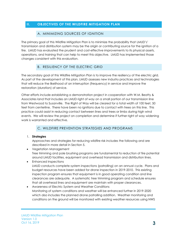# <span id="page-5-1"></span><span id="page-5-0"></span>**II. OBJECTIVES OF THE WILDFIRE MITIGATION PLAN**

#### A. MINIMIZING SOURCES OF IGNITION

The primary goal of this Wildfire Mitigation Plan is to minimize the probability that LMUD's' transmission and distribution system may be the origin or contributing source for the ignition of a fire. LMUD has evaluated the prudent and cost-effective improvements to its physical assets, operations, and training that can help to meet this objective. LMUD has implemented those changes consistent with this evaluation.

# B. RESILIENCY OF THE ELECTRIC GRID

<span id="page-5-2"></span>The secondary goal of this Wildfire Mitigation Plan is to improve the resiliency of the electric grid. As part of the development of this plan, LMUD assesses new industry practices and technologies that will reduce the likelihood of an interruption (frequency) in service and improve the restoration (duration) of service.

Other efforts include establishing a demonstration project in cooperation with W.M. Beatty & Associates land that includes an LMUD right of way on a small portion of our transmission line from Westwood to Susanville. The Right of Way will be cleared for a total width of 100 feet, 50 feet from centerline. There have been no ignitions due to contact with trees on this line. This practice could assist in reducing contact between lines and trees or limbs during high wind events. We will review the project on completion and determine if further right of way widening work is warranted and effective.

# C. WILDFIRE PREVENTION STRATEGIES AND PROGRAMS

#### <span id="page-5-3"></span>1. **Strategies**

Approaches and strategies for reducing wildfire risk includes the following and are described in more detail in Section 5.

- Vegetation Management Tree trimming and pole brushing programs are fundamental to reduction of fire potential around LMUD facilities, equipment and overhead transmission and distribution lines.
- Enhanced Inspections LMUD conducts complete system inspections (patrolling) on an annual cycle. Plans and budget resources have been added for drone inspection in 2019-2010. This existing inspection program ensures that equipment is in good operating condition and line clearances are adequate. A systematic tree trimming program and schedule ensures that all overhead lines and equipment are maintain with proper clearances.
- Awareness of Electric System and Weather Conditions Monitoring of system conditions and weather will be enhanced further in 2019-2020 which also includes the planned drone patrolling addition. Weather monitoring and conditions on the ground will be monitored with existing weather resources using NWS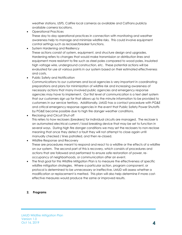weather stations, USFS, CalFire local cameras as available and CalTrans publicly available camera locations.

• Operational Practices

These day to day operational practices in connection with monitoring and weather awareness help to manage and minimize wildfire risks. This could involve equipment control settings such as recloser/breaker functions.

• System Hardening and Resiliency

These actions consist of system, equipment, and structure design and upgrades. Hardening refers to changes that would make transmission or distribution lines and equipment more resistant to fire such as steel poles compared to wood poles, insulated high voltage wire, underground construction, etc. These potential actions will be evaluated for use at various points in our system based on their estimated effectiveness and costs.

• Public Safety and Notification

Communications to our customers and local agencies is very important in coordinating preparations and plans for minimization of wildfire risk and increasing awareness of necessary actions that many involved public agencies and emergency response agencies may have to implement. Our first level of communication is a text alert system that our customers sign up for that allows up to the minute information to be provided to customers in our service territory. Additionally, LMUD has a contact procedure with PG&E and critical emergency response agencies in the event that Public Safety Power Shutoffs by PG&E become possible due to high fire danger weather conditions.

- Reclosing and Circuit Shut-off This refers to how reclosers (breakers) for individual circuits are managed. The recloser is an automated electrical current / load breaking device that may be set to function in several ways. During high fire danger conditions we may set the reclosers to non-reclose meaning that once they detect a fault they will not attempt to close again until manually checked / lines patrolled, and then re-closed.
- Wildfire Response and Recovery These are procedures meant to respond and react to a wildfire or the effects of a wildfire on our system. The second part of this is recovery, which consists of procedures and actions that are followed and performed to ensure safe restoration of power, reoccupancy of neighborhoods, or communication after an event.
- The final goal for this Wildfire Mitigation Plan is to measure the effectiveness of specific wildfire mitigation strategies. Where a particular action, program component, or protocol is determined to be unnecessary or ineffective, LMUD will assess whether a modification or replacement is merited. This plan will also help determine if more costeffective measures would produce the same or improved results.

# **2. Programs**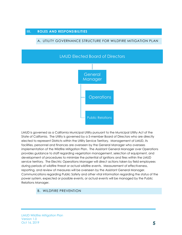#### <span id="page-7-1"></span><span id="page-7-0"></span>**III. ROLES AND RESPONSIBILITIES**

#### A. UTILITY GOVERNANCE STRUCTURE FOR WILDFIRE MITIGATION PLAN



LMUD is governed as a California Municipal Utility pursuant to the Municipal Utility Act of the State of California. The Utility is governed by a 5-member Board of Directors who are directly elected to represent Districts within the Utility Service Territory. Management of LMUD, its facilities, personnel and finances are overseen by the General Manager who oversees implementation of the Wildfire Mitigation Plan. The Assistant General Manager over Operations provides guidance to staff regarding vegetation management, selection of equipment, and development of procedures to minimize the potential of ignitions and fires within the LMUD service territory. The Electric Operations Manager will direct actions taken by field employees during periods of wildfire threat or actual wildfire events. Measurement of effectiveness, reporting, and review of measures will be overseen by the Assistant General Manager. Communications regarding Public Safety and other vital information regarding the status of the power system, expected or possible events, or actual events will be managed by the Public Relations Manager.

#### <span id="page-7-2"></span>B. WILDFIRE PREVENTION

LMUD Wildfire Mitigation Plan Version 1.0 Oct 16, 2019 **5**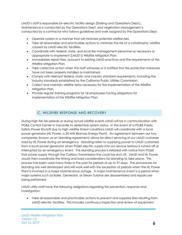LMUD's staff is responsible for electric facility design (Staking and Operations Dept.), Maintenance is conducted by the Operations Dept, and vegetation management is conducted by a contractor who follows guidelines and work assigned by the Operations Dept.

- Operate system in a manner that will minimize potential wildfire risks.
- Take all reasonable and practicable actions to minimize the risk of a catastrophic wildfire caused by LMUD electric facilities.
- Coordinate with federal, state, and local fire management personnel as necessary or appropriate to implement [LMUD's] Wildfire Mitigation Plan.
- Immediately report fires, pursuant to existing LMUD practices and the requirements of this Wildfire Mitigation Plan.
- Take corrective action when the staff witnesses or is notified that fire protection measures have not been properly installed or maintained.
- Comply with relevant federal, state, and industry standard requirements, including the industry standards established by the California Public Utilities Commission.
- Collect and maintain wildfire data necessary for the implementation of this Wildfire Mitigation Plan.
- Provide regular training programs for all employees having obligations for implementation of this Wildfire Mitigation Plan.

# C. WILDFIRE RESPONSE AND RECOVERY

<span id="page-8-0"></span>During high fire risk periods or during actual wildfire events LMUD will be in communication with PG&E Control Center in Vacaville to determine system status. In the event of a PG&E Public Safety Power Shutoff due to high wildfire threat conditions LMUD will coordinate with a local power generator (HL Power, a 30 MW Biomass Energy Plant). An agreement between our two companies (known as an Islanding Agreement) allows for direct servicing of our LMUD customer load by HL Power during an emergency. Islanding refers to supplying power to LMUD customers from a local power generator when PG&E electric supply into our service territory is turned off or interrupted by an emergency event. This islanding process is initiated with notice from PG&E that power supply through the Caribou Transmission line could be shut off. LMUD and HL Power would then coordinate the timing and load considerations for islanding to take place. This process has been used many times in the past for periods of up to 27 days. The procedures for islanding are well developed and will work well with the exception of periods when the HL Power Plant is involved in a major maintenance outage. A major maintenance event is a period when major systems such as Boiler, Generator, or Steam Turbine are disassembled and repairs are being performed.

LMUD utility staff have the following obligations regarding fire prevention, response and investigation:

• Take all reasonable and practicable actions to prevent and suppress fires resulting from LMUD electric facilities. This includes continuous inspection and review of equipment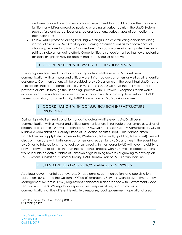and lines for condition, and evaluation of equipment that could reduce the chance of ignitions or wildfires caused by sparking or arcing at various points in the LMUD System such as fuse and cutout locations, recloser locations, various types of connections to distribution lines.

• Follow LMUD protocols during Red Flag Warnings such as evaluating conditions along individual circuits in LMUD territory and making determinations as to effectiveness of changing recloser function to "non-reclose". Evaluation of equipment protective relay settings is also an on-going effort. Opportunities to set equipment so that lower potential for spark or ignition may be determined to be useful or effective.

# D. COORDINATION WITH WATER UTILITIES/DEPARTMENT

<span id="page-9-0"></span>During high wildfire threat conditions or during actual wildfire events LMUD will be in communication with all major and critical water infrastructure customers as well as all residential customers. Communications will be provided to LMUD customers in the event that LMUD has to take actions that affect certain circuits. In most cases LMUD will have the ability to provide power to all circuits through the "Islanding" process with HL Power. Exceptions to this would include an active wildfire of unknown origin burning towards or growing to envelop an LMUD system, substation, customer facility, LMUD transmission or LMUD distribution line.

# E. COORDINATION WITH COMMUNICATION INFRASTRUCTURE PROVIDERS

<span id="page-9-1"></span>During high wildfire threat conditions or during actual wildfire events LMUD will be in communication with all major and critical communications infrastructure customers as well as all residential customers. We will coordinate with OES, CalFire, Lassen County Administration, City of Susanville Administration, County Office of Education, Sheriff's Dept, CHP, Banner Lassen Hospital, Water Supply Districts (Susanville, Westwood, Lake Levitt, Spalding, Lake Forest). We will also communicate with both large customers and residential LMUD customers in the event that LMUD has to take actions that affect certain circuits. In most cases LMUD will have the ability to provide power to all circuits through the "Islanding" process with HL Power. Exceptions to this would include an active wildfire of unknown origin burning towards or growing to envelop an LMUD system, substation, customer facility, LMUD transmission or LMUD distribution line.

#### F. STANDARDIZED EMERGENCY MANAGEMENT SYSTEM

<span id="page-9-2"></span>As a local governmental agency, <sup>1</sup> LMUD has planning, communication, and coordination obligations pursuant to the California Office of Emergency Services' Standardized Emergency Management System ("SEMS") Regulations,<sup>2</sup> adopted in accordance with Government Code section 8607. The SEMS Regulations specify roles, responsibilities, and structures of communications at five different levels: field response, local government, operational area,

l

<sup>&</sup>lt;sup>1</sup> As defined in Cal. Gov. Code § 8680.2.

<sup>2</sup> 19 CCR § 2407.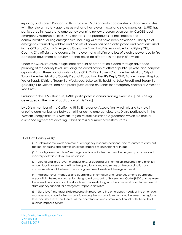regional, and state.3 Pursuant to this structure, LMUD annually coordinates and communicates with the relevant safety agencies as well as other relevant local and state agencies. LMUD has participated in hazard and emergency planning review program overseen by CalOES local emergency response officials. Key contacts and procedures for notifications and communications during emergencies, including wildfires have been developed. The type of emergency caused by wildfire and / or loss of power has been anticipated and plans discussed in the OES and County Emergency Operation Plan. LMUD is responsible for notifying OES, County, City officials and agencies in the event of a wildfire or a loss of electric power due to fire damaged equipment or equipment that could be affected in the path of a wildfire.

Under the SEMS structure, a significant amount of preparation is done through advanced planning at the county level, including the coordination of effort of public, private, and nonprofit organizations. These participants include OES, CalFire, Lassen County Administration, City of Susanville Administration, County Dept of Education, Sheriff's Dept, CHP, Banner Lassen Hospital, Water Supply Districts (Susanville, Westwood, Lake Levitt, Spalding, Lake Forest) and Susanville gas utility, Fire Districts, and non-profits (such as the churches for emergency shelters or American Red Cross).

Pursuant to the SEMS structure, LMUD participates in annual training exercises. [This is being developed at the time of publication of this Plan.]

LMUD is a member of the California Utility Emergency Association, which plays a key role in ensuring communications between utilities during emergencies. LMUD also participate in the Western Energy Institute's Western Region Mutual Assistance Agreement, which is a mutual assistance agreement covering utilities across a number of western states.

l

(3) "Operational area level" manages and/or coordinates information, resources, and priorities among local governments within the operational area and serves as the coordination and communication link between the local government level and the regional level.

(4) "Regional level" manages and coordinates information and resources among operational areas within the mutual aid region designated pursuant to Government Code §8600 and between the operational areas and the state level. This level along with the state level coordinates overall state agency support for emergency response activities.

(5) "State level" manages state resources in response to the emergency needs of the other levels, manages and coordinates mutual aid among the mutual aid regions and between the regional level and state level, and serves as the coordination and communication link with the federal disaster response system.

<sup>3</sup> Cal. Gov. Code § 2403(b):

<sup>(1) &</sup>quot;Field response level" commands emergency response personnel and resources to carry out tactical decisions and activities in direct response to an incident or threat.

<sup>(2) &</sup>quot;Local government level" manages and coordinates the overall emergency response and recovery activities within their jurisdiction.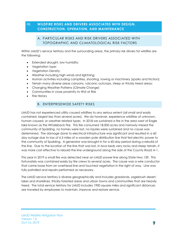# <span id="page-11-1"></span><span id="page-11-0"></span>**IV. WILDFIRE RISKS AND DRIVERS ASSOCIATED WITH DESIGN, CONSTRUCTION, OPERATION, AND MAINTENANCE**

#### A. PARTICULAR RISKS AND RISK DRIVERS ASSOCIATED WITH TOPOGRAPHIC AND CLIMATOLOGICAL RISK FACTORS

Within LMUD's service territory and the surrounding areas, the primary risk drivers for wildfire are the following:

- Extended drought, low humidity;
- Vegetation type;
- Vegetation Density;
- Weather including high winds and lightning;
- Human activities including campfires, shooting, towing or machinery (sparks and friction);
- Terrain many diverse areas canyons, volcanic outcrops, steep or thickly treed areas;
- Changing Weather Patterns (Climate Change)
- Communities in close proximity to WUI at Risk
- Fire History

#### B. ENTERPRISEWIDE SAFETY RISKS

<span id="page-11-2"></span>LMUD has not experienced utility caused wildfires to any serious extent (all small and easily contained, largest less than several acres). We do however, experience wildfires of unknown, human caused, or weather related types. In 2018 we sustained a fire in the area west of Eagle lake known as the Whaleback Fire. This fire consumed 18,000 acres and narrowly missed the community of Spalding, no homes were lost, no injuries were sustained and no cause was determined. The damage done to electrical infrastructure was significant and resulted in a 60 day outage due to loss of 6.5 miles of a wooden pole distribution line that fed electric power to the community of Spalding. A generator was brought in for a 60-day period during a rebuild of the line. Due to the location of the line that was lost, in lava beds very rocky and steep terrain, it was more cost effective to rebuild the line underground along the side of the County Road A-1.

This year in 2019 a small fire was detected near an LMUD power line along State Hwy 139. This fortunately was contained easily by fire crews to several acres. The cause was a wire conductor that came loose from an overhead line and touched vegetation in the right of way. Line was fully patrolled and repairs performed as necessary.

The LMUD service territory is diverse geographically and includes grasslands, sagebrush desert, lakes and shorelines, thickly forested areas and urban towns and communities that are heavily treed. The total service territory for LMUD includes 1900 square miles and significant distances are traveled by employees to maintain, improve and restore service.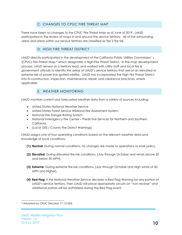# C. CHANGES TO CPUC FIRE THREAT MAP

<span id="page-12-0"></span>There have been no changes to the CPUC Fire Threat Map as of June of 2019. LMUD participated in the review of maps in and around the service territory. All of the surrounding areas and areas within our service territory are classified as Tier 2 fire risk.

#### D. HIGH FIRE THREAT DISTRICT

LMUD directly participated in the development of the California Public Utilities Commission' s (CPUC) Fire-Threat Map,<sup>4</sup> which designates a High-Fire Threat District. In the map development process, LMUD served as a territory lead, and worked with utility staff and local fire & government officials to identify the areas of LMUD's service territory that are at an elevated or extreme risk of power line ignited wildfire. LMUD has incorporated the High Fire Threat District into its construction, inspection, maintenance, repair, and clearance practices, where applicable.

#### E. WEATHER MONITORING

LMUD monitors current and forecasted weather data from a variety of sources including:

- United States National Weather Service
- United States Forest Service Wildland Fire Assessment System
- National Fire Danger Rating System
- National Interagency Fire Center Predictive Services for Northern and Southern California.
- [Local OES / County Fire District Warnings]

LMUD assigns one of four operating conditions based on the relevant weather data and knowledge of local conditions:

- **(1) Normal:** During normal conditions, no changes are made to operations or work policy.
- **(2) Elevated:** During elevated fire-risk conditions, [July through October and winds above 20 and below 30 MPH].
- **(3) Extreme:** During extreme fire-risk conditions, [July through October and High winds of 30 MPH and Higher].
- **(4) Red Flag:** If the National Weather Service declares a Red Flag Warning for any portion of LMUD's service territory, then LMUD will place appropriate circuits on "non-reclose" and additional patrols will be authorized during the Red Flag event.

l <sup>4</sup> Adopted by CPUC Decision 17-12-024.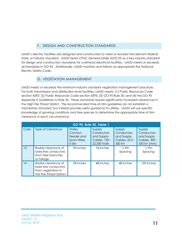# F. DESIGN AND CONSTRUCTION STANDARDS

LMUD's electric facilities are designed and constructed to meet or exceed the relevant federal, state, or industry standard. LMUD treats CPUC General Order (GO) 95 as a key industry standard for design and construction standards for overhead electrical facilities. LMUD meets or exceeds all standards in GO 95. Additionally, LMUD monitors and follows as appropriate the National Electric Safety Code.

# G. VEGETATION MANAGEMENT

LMUD meets or exceeds the minimum industry standard vegetation management practices. For both transmission and distribution level facilities, LMUD meets: (1) Public Resources Code section 4292; (2) Public Resources Code section 4293; (3) GO 95 Rule 35; and (4) the GO 95 Appendix E Guidelines to Rule 35. These standards require significantly increased clearances in the High Fire Threat District. The recommended time-of-trim guidelines do not establish a mandatory standard, but instead provide useful guidance to utilities. LMUD will use specific knowledge of growing conditions and tree species to determine the appropriate time of trim clearance in each circumstance.

| GO 95, Rule 35, Table 1 |                                                                                               |                                                             |                                                                     |                                                                |                                                                    |  |  |  |
|-------------------------|-----------------------------------------------------------------------------------------------|-------------------------------------------------------------|---------------------------------------------------------------------|----------------------------------------------------------------|--------------------------------------------------------------------|--|--|--|
| Case                    | <b>Type of Clearance</b>                                                                      | Trolley<br>Contact,<br>Feeder and<br>Span Wires,<br>$0-5kv$ | Supply<br>Conductors<br>and Supply<br>Cables, 750 -<br>22,500 Volts | Supply<br>Conductors<br>and Supply<br>Cables, 22.5 -<br>300 kV | Supply<br>Conductors<br>and Supply<br>Cables, 300 -<br>550 kV (mm) |  |  |  |
| 13                      | Radial clearance of<br>bare line conductors<br>from tree branches<br>or foliage               | 18 inches                                                   | 18 inches                                                           | $\frac{1}{4}$ Pin<br>Spacing                                   | $\frac{1}{2}$ Pin<br>Spacing                                       |  |  |  |
| 14                      | Radial clearance of<br>bare line conductors<br>from vegetation in<br>the Fire-Threat District | 18 inches                                                   | 48 inches                                                           | 48 inches                                                      | 120 inches                                                         |  |  |  |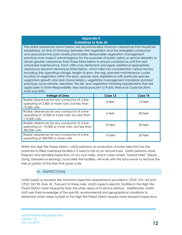#### **Appendix E Guidelines to Rule 35**

The radial clearances shown below are recommended minimum clearances that should be established, at time of trimming, between the vegetation and the energized conductors and associated live parts where practicable. Reasonable vegetation management practices may make it advantageous for the purposes of public safety or service reliability to obtain greater clearances than those listed below to ensure compliance until the next scheduled maintenance. Each utility may determine and apply additional appropriate clearances beyond clearances listed below, which take into consideration various factors, including: line operating voltage, length of span, line sag, planned maintenance cycles, location of vegetation within the span, species type, experience with particular species, vegetation growth rate and characteristics, vegetation management standards and best practices, local climate, elevation, fire risk, and vegetation trimming requirements that are applicable to State Responsibility Area lands pursuant to Public Resource Code Sections 4102 and 4293.

| <b>Voltage of Lines</b>                                                                                             | Case 13 | Case 14 |
|---------------------------------------------------------------------------------------------------------------------|---------|---------|
| Radial clearances for any conductor of a line<br>operating at 2,400 or more volts, but less than<br>72,000 volts    | 4 feet  | 12 feet |
| Radial clearances for any conductor of a line<br>operating at 72,000 or more volts, but less than<br>110,000 volts  | 6 feet  | 20 feet |
| Radial clearances for any conductor of a line<br>operating at 110,000 or more volts, but less than<br>300,000 volts | 10 feet | 30 feet |
| Radial clearances for any conductor of a line<br>operating at 300,000 or more volts                                 | 15 feet | 30 feet |

Within the High Fire Threat District, LMUD performs an evaluation of every tree that has the potential to strike overhead facilities it if were to fail on an annual basis. LMUD performs more frequent and detailed inspections of any such trees, and in cases where "hazard trees" (Dead, Dying, Diseased or leaning) could strike the facilities, will work with the land owner to remove the tree or portion of the tree that poses a risk.

#### H. INSPECTIONS

<span id="page-14-0"></span>LMUD meets or exceeds the minimum inspection requirements provided in CPUC GO 165 and CPUC GO 95, Rule 18. Pursuant to these rules, LMUD inspects electric facilities in the High Fire Threat District more frequently than the other areas of its service territory. Additionally, LMUD staff uses their knowledge of the specific environmental and geographical conditions to determine when areas outside of the High Fire Threat District require more frequent inspections.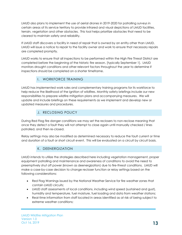LMUD also plans to implement the use of aerial drones in 2019-2020 for patrolling surveys in certain areas of its service territory to provide infrared and visual depictions of LMUD facilities, terrain, vegetation and other obstacles. This tool helps prioritize obstacles that need to be cleared to maintain safety and reliability.

If LMUD staff discovers a facility in need of repair that is owned by an entity other than LMUD, LMUD will issue a notice to repair to the facility owner and work to ensure that necessary repairs are completed promptly.

LMUD works to ensure that all inspections to be performed within the High Fire Threat District are completed before the beginning of the historic fire season, [typically September 1]. LMUD monitors drought conditions and other relevant factors throughout the year to determine if inspections should be completed on a shorter timeframe.

# I. WORKFORCE TRAINING

<span id="page-15-0"></span>LMUD has implemented work rules and complementary training programs for its workforce to help reduce the likelihood of the ignition of wildfires. Monthly safety briefings include our new responsibilities to prepare wildfire mitigation plans and accompanying measures. We will update and include briefings on these requirements as we implement and develop new or updated measures and procedures.

# J. RECLOSING POLICY

<span id="page-15-1"></span>During Red Flag fire danger conditions we may set the reclosers to non-reclose meaning that once they detect a fault they will not attempt to close again until manually checked / lines patrolled, and then re-closed.

Relay settings may also be modified as determined necessary to reduce the fault current or time and duration of a fault or short circuit event. This will be evaluated on a circuit by circuit basis.

# K. DEENERGIZATION

<span id="page-15-2"></span>LMUD intends to utilize the strategies described here including vegetation management, proper equipment patrolling and maintenance and awareness of conditions to avoid the need to preemptively shut off power (known as deenergization) due to fire-threat conditions. LMUD will make a case-by-case decision to change recloser function or relay settings based on the following considerations:

- Red Flag Warnings issued by the National Weather Service for fire weather zones that contain LMUD circuits;
- LMUD staff assessments of local conditions, including wind speed (sustained and gust), humidity and temperature, fuel moisture, fuel loading and data from weather stations;
- Real-time information from staff located in areas identified as at risk of being subject to extreme weather conditions;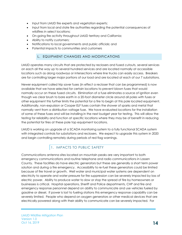- Input from LMUD fire experts and vegetation experts;
- Input from local and state fire authorities regarding the potential consequences of wildfires in select locations;
- On-going fire activity throughout LMUD territory and California;
- Ability to notify customers;
- Notifications to local governments and public officials; and
- Potential impacts to communities and customers

#### L. EQUIPMENT CHANGES AND MODIFICATIONS

LMUD operates many circuits that are protected by reclosers and fused cutouts, several services on each all the way up to several hundred services and are located normally at accessible locations such as along roadways or intersections where line trucks can easily access. Breakers are for controlling larger major portions of our load and are located at each of our 7 substations.

Newer equipment called trip saver fuses (in effect a recloser that can be programmed) is now available that we have selected for certain locations to prevent blown fuses that would normally occur on these fused circuits. Elimination of a fuse eliminates a source of ignition even though we clear brush to bare earth in a 20-foot diameter circle around all poles with fuses or other equipment this further limits the potential for a fire to begin at this pole located equipment. Additionally, non-expulsion or Cooper ELF fuses contain the shower of sparks and metal that normally vent from a distribution voltage fuse. We have evaluated locations for the installation of some of these fuses and will be installing in the next budget year for testing. This will allow the testing for reliability and function at specific locations where they may be of benefit in reducing the potential for fires at these pole top equipment locations.

LMUD is working on upgrade of a SCADA monitoring system to a fully functional SCADA system with integrated controls for substations and reclosers. We expect to upgrade this system in 2020 and begin controlling remotely during periods of red flag warnings.

# 1. IMPACTS TO PUBLIC SAFETY

Communications antenna sites located on mountain peaks are very important to both emergency communications and routine telephone and radio communications in Lassen County. These facilities do have electric generators but these are generally a short term power solution and during a fire emergency. Accessibility to re-fuel these generators could be limited because of fire travel or growth. Well water and municipal water systems are dependent on electricity to operate and water pressure for fire suppression can be severely impacted by loss of electric power. Ability to produce water to slow or stop the spread of fire by homeowners or businesses is critical. Hospital operations, Sheriff and Police departments, CHP and fire and emergency response personnel depend on ability to communicate and use vehicles fueled by gasoline or diesel. If power is lost to fueling stations this emergency response capability can be severely limited. People who depend on oxygen generators or other medical devices that are electrically powered along with their ability to communicate can be severely impacted. For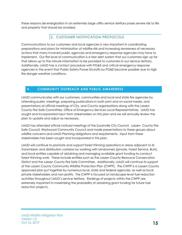these reasons de-energization in an extremely large utility service territory poses severe risk to life and property that should be avoided.

# 2. CUSTOMER NOTIFICATION PROTOCOLS

<span id="page-17-0"></span>Communications to our customers and local agencies is very important in coordinating preparations and plans for minimization of wildfire risk and increasing awareness of necessary actions that many involved public agencies and emergency response agencies may have to implement. Our first level of communication is a text alert system that our customers sign up for that allows up to the minute information to be provided to customers in our service territory. Additionally, LMUD has a contact procedure with PG&E and critical emergency response agencies in the event that Public Safety Power Shutoffs by PG&E become possible due to high fire danger weather conditions.

# <span id="page-17-1"></span>**V. COMMUNITY OUTREACH AND PUBLIC AWARENESS**

LMUD communicates with our customers, communities and local and state fire agencies by attending public meetings, preparing publications in both print and on social media, and presentations at official meetings of City, and County organizations along with the Lassen County Fire Safe Committee, Office of Emergency Services Local Representatives. LMUD has sought and incorporated input from stakeholders on this plan and we will annually review the plan to update and adjust as necessary.

LMUD has attended official noticed meetings of the Susanville City Council, Lassen County Fire Safe Council, Westwood Community Council and made presentations to these groups about wildfire concerns and LMUD Planning obligations and requirements. Input from these stakeholders has been sought and incorporated in this plan.

LMUD will continue to promote and support forest thinning operations in areas adjacent to its transmission and distribution corridors by working with landowners (private, Forest Service, BLM), and local entities capable of obtaining and managing available grant funding to conduct forest thinning work. These include entities such as the Lassen County Resource Conservation District and the Lassen County Fire Safe Committee. Additionally, LMUD will continue its support of the Lassen County Community Wildfire Protection Plan (CWPP). The CWPP is a Lassen County approved plan put together by numerous local, state and federal agencies, as well as local private stakeholders and non-profits. The CWPP is focused on landscape-level fuel reduction activities throughout LMUD's service territory. Rankings of projects within the CWPP are extremely important in maximizing the probability of obtaining grant funding for future fuel reduction projects.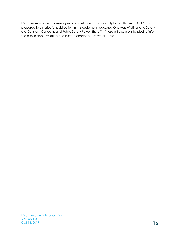LMUD issues a public newsmagazine to customers on a monthly basis. This year LMUD has prepared two stories for publication in this customer magazine. One was Wildfires and Safety are Constant Concerns and Public Safety Power Shutoffs. These articles are intended to inform the public about wildfires and current concerns that we all share.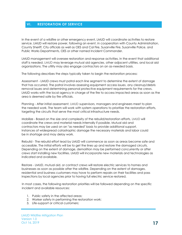#### <span id="page-19-0"></span>**VI. RESTORATION OF SERVICE**

In the event of a wildfire or other emergency event, LMUD will coordinate activities to restore service. LMUD will restore power, following an event, in cooperation with County Administration, County Sheriff, City officials as well as OES and Cal Fire, Susanville Fire, Susanville Police, and Public Works Departments, OES or other named Incident Commander.

LMUD management will oversee restoration and response activities. In the event that additional staff is needed, LMUD may leverage mutual aid agencies, other adjacent utilities, and local aid organizations. The utility may also engage contractors on an as-needed basis.

The following describes the steps typically taken to begin the restoration process:

Assessment - LMUD crews must patrol each line segment to determine the extent of damage that has occurred. The patrol involves assessing equipment access issues, any cleanup/debris removal issues and determining personal protective equipment requirements for the crews. LMUD works with the local agency in charge of the fire to access impacted areas as soon as the area is deemed safe by fire officials.

Planning - After initial assessment, LMUD supervisors, managers and engineers meet to plan the needed work. The team will work with system operations to prioritize the restoration efforts, targeting the circuits that serve the most critical infrastructure needs.

Mobilize - Based on the size and complexity of the rebuild/restoration efforts, LMUD will coordinate the crews and material needs internally if possible. Mutual aid and contractors may be used on an "as needed" basis to provide additional support. Instances of widespread catastrophic damage the necessary materials and labor could be in shortage and may delay work.

Rebuild - The rebuild effort lead by LMUD will commence as soon as areas become safe and accessible. The initial efforts will be to get the lines up and restore the damaged circuits. Depending on the extent of damage, demolition may be performed concurrently or after crews start installing new facilities. LMUD will incorporate new materials and technologies as indicated and available.

Restore - LMUD, mutual aid, or contract crews will restore electric services to homes and businesses as soon as possible after the wildfire. Depending on the extent of damages, residential and business customers may have to perform repairs on their facilities and pass inspections by local agencies prior to having full electric service restored.

In most cases, the following restoration priorities will be followed depending on the specific incident and available resources:

- 1. Public safety in the affected areas;
- 2. Worker safety in performing the restoration work;
- 3. Life-support or critical customers;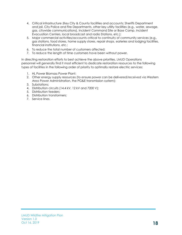- 4. Critical infrastructure (Key City & County facilities and accounts; Sheriffs Department and jail, City Police and Fire Departments, other key utility facilities (e.g., water, sewage, gas, citywide communications), Incident Command Site or Base Camp, Incident Evacuation Centers, local broadcast and radio Stations, etc.);
- 5. Major commercial activities/accounts critical to continuity of community services (e.g., gas stations, food stores, home supply stores, repair shops, eateries and lodging facilities, financial institutions, etc.;
- 6. To reduce the total number of customers affected;
- 7. To reduce the length of time customers have been without power.

In directing restoration efforts to best achieve the above priorities, LMUD Operations personnel will generally find it most efficient to dedicate restoration resources to the following types of facilities in the following order of priority to optimally restore electric services:

- 1. HL Power Biomass Power Plant;
- 2. Other energy supply resources (to ensure power can be delivered/received via Western Area Power Administration, the PG&E transmission system);
- 3. Substations;
- 4. Distribution circuits (14.4 kV, 12 kV and 7200 V);
- 5. Distribution feeders;
- 6. Distribution transformers;
- 7. Service lines.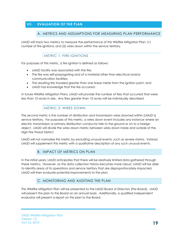# <span id="page-21-1"></span><span id="page-21-0"></span>**VII. EVALUATION OF THE PLAN**

#### A. METRICS AND ASSUMPTIONS FOR MEASURING PLAN PERFORMANCE

LMUD will track two metrics to measure the performance of this Wildfire Mitigation Plan: (1) number of fire ignitions; and (2) wires down within the service territory.

# METRIC 1: FIRE IGNITIONS

<span id="page-21-2"></span>For purposes of this metric, a fire ignition is defined as follows:

- LMUD facility was associated with the fire;
- The fire was self-propagating and of a material other than electrical and/or communication facilities;
- The resulting fire traveled greater than one linear meter from the ignition point; and
- LMUD has knowledge that the fire occurred.

In future Wildfire Mitigation Plans, LMUD will provide the number of fires that occurred that were less than 10 acres in size. Any fires greater than 10 acres will be individually described.

# METRIC 2: WIRES DOWN

<span id="page-21-3"></span>The second metric is the number of distribution and transmission wires downed within [LMUD's] service territory. For purposes of this metric, a wires down event includes any instance where an electric transmission or primary distribution conductor falls to the ground or on to a foreign object. LMUD will divide the wires down metric between wires down inside and outside of the High Fire Threat District.

LMUD will not normalize this metric by excluding unusual events, such as severe storms. Instead, LMUD will supplement this metric with a qualitative description of any such unusual events.

#### B. IMPACT OF METRICS ON PLAN

<span id="page-21-4"></span>In the initial years, LMUD anticipates that there will be relatively limited data gathered through these metrics. However, as the data collection history becomes more robust, LMUD will be able to identify areas of its operations and service territory that are disproportionately impacted. LMUD will then evaluate potential improvements to the plan.

#### C. MONITORING AND AUDITING THE PLAN

<span id="page-21-5"></span>This Wildfire Mitigation Plan will be presented to the LMUD Board of Directors (the Board). LMUD will present this plan to the Board on an annual basis. Additionally, a qualified independent evaluator will present a report on this plan to the Board.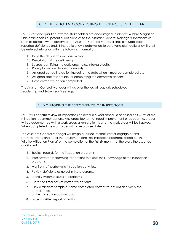# D. IDENTIFYING AND CORRECTING DEFICIENCIES IN THE PLAN

<span id="page-22-0"></span>LMUD staff and qualified external stakeholders are encouraged to identify Wildfire Mitigation Plan deficiencies or potential deficiencies to the Assistant General Manager Operations as soon as possible when observed. The Assistant General Manager shall evaluate each reported deficiency and, if the deficiency is determined to be a valid plan deficiency, it shall be entered into a log with the following information:

- 1. Date the deficiency was discovered;
- 2. Description of the deficiency;
- 3. Source identifying the deficiency (e.g., Internal Audit);
- 4. Priority based on deficiency severity;
- 5. Assigned corrective action including the date when it must be completed by;
- 6. Assigned staff responsible for completing the corrective action;
- 7. Date corrective action completed.

The Assistant General Manager will go over the log at regularly scheduled Leadership and Supervisor Meetings.

#### E. MONITORING THE EFFECTIVENESS OF INSPECTIONS

<span id="page-22-1"></span>LMUD will perform review of inspections on either a 5-year schedule or based on GO 95 or fire mitigation recommendations. Any areas found that need Improvement or appear hazardous will be documented with a work order, given a priority, and the work order will be tracked. When completed the work order will have a close date.

The Assistant General Manager will assign qualified internal staff or engage a third party to review and audit the equipment and line inspection programs called out in the Wildfire Mitigation Plan after the completion of the first six months of the plan. The assigned auditor will:

- 1. Review records for the inspection programs;
- 2. Interview staff performing inspections to assess their knowledge of the inspection programs;
- 3. Monitor staff performing inspection activities;
- 4. Review deficiencies noted in the programs;
- 5. Identify systemic issues or problems;
- 6. Note the timeliness of corrective actions;
- 7. Pick a random sample of some completed corrective actions and verify the effectiveness of the corrective actions; and
- 8. Issue a written report of findings.